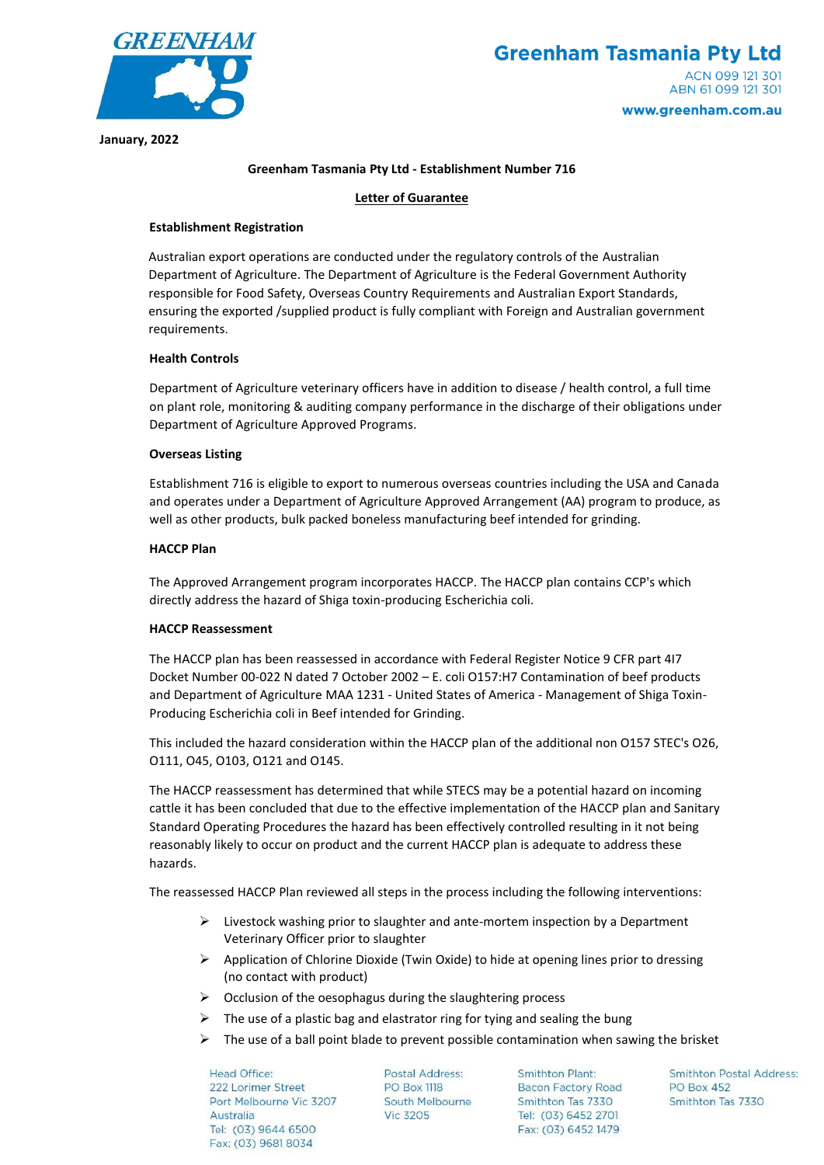

### **Greenham Tasmania Pty Ltd - Establishment Number 716**

# **Letter of Guarantee**

# **Establishment Registration**

Australian export operations are conducted under the regulatory controls of the Australian Department of Agriculture. The Department of Agriculture is the Federal Government Authority responsible for Food Safety, Overseas Country Requirements and Australian Export Standards, ensuring the exported /supplied product is fully compliant with Foreign and Australian government requirements.

# **Health Controls**

Department of Agriculture veterinary officers have in addition to disease / health control, a full time on plant role, monitoring & auditing company performance in the discharge of their obligations under Department of Agriculture Approved Programs.

# **Overseas Listing**

Establishment 716 is eligible to export to numerous overseas countries including the USA and Canada and operates under a Department of Agriculture Approved Arrangement (AA) program to produce, as well as other products, bulk packed boneless manufacturing beef intended for grinding.

# **HACCP Plan**

The Approved Arrangement program incorporates HACCP. The HACCP plan contains CCP's which directly address the hazard of Shiga toxin-producing Escherichia coli.

# **HACCP Reassessment**

The HACCP plan has been reassessed in accordance with Federal Register Notice 9 CFR part 4I7 Docket Number 00-022 N dated 7 October 2002 – E. coli O157:H7 Contamination of beef products and Department of Agriculture MAA 1231 - United States of America - Management of Shiga Toxin-Producing Escherichia coli in Beef intended for Grinding.

This included the hazard consideration within the HACCP plan of the additional non O157 STEC's O26, O111, O45, O103, O121 and O145.

The HACCP reassessment has determined that while STECS may be a potential hazard on incoming cattle it has been concluded that due to the effective implementation of the HACCP plan and Sanitary Standard Operating Procedures the hazard has been effectively controlled resulting in it not being reasonably likely to occur on product and the current HACCP plan is adequate to address these hazards.

The reassessed HACCP Plan reviewed all steps in the process including the following interventions:

- $\triangleright$  Livestock washing prior to slaughter and ante-mortem inspection by a Department Veterinary Officer prior to slaughter
- ➢ Application of Chlorine Dioxide (Twin Oxide) to hide at opening lines prior to dressing (no contact with product)
- $\triangleright$  Occlusion of the oesophagus during the slaughtering process
- $\triangleright$  The use of a plastic bag and elastrator ring for tying and sealing the bung
- $\triangleright$  The use of a ball point blade to prevent possible contamination when sawing the brisket

Head Office: 222 Lorimer Street Port Melbourne Vic 3207 Australia Tel: (03) 9644 6500 Fax: (03) 9681 8034

Postal Address: **PO Box 1118 South Melbourne Vic 3205** 

**Smithton Plant: Bacon Factory Road** Smithton Tas 7330 Tel: (03) 6452 2701 Fax: (03) 6452 1479

**Smithton Postal Address: PO Box 452** Smithton Tas 7330